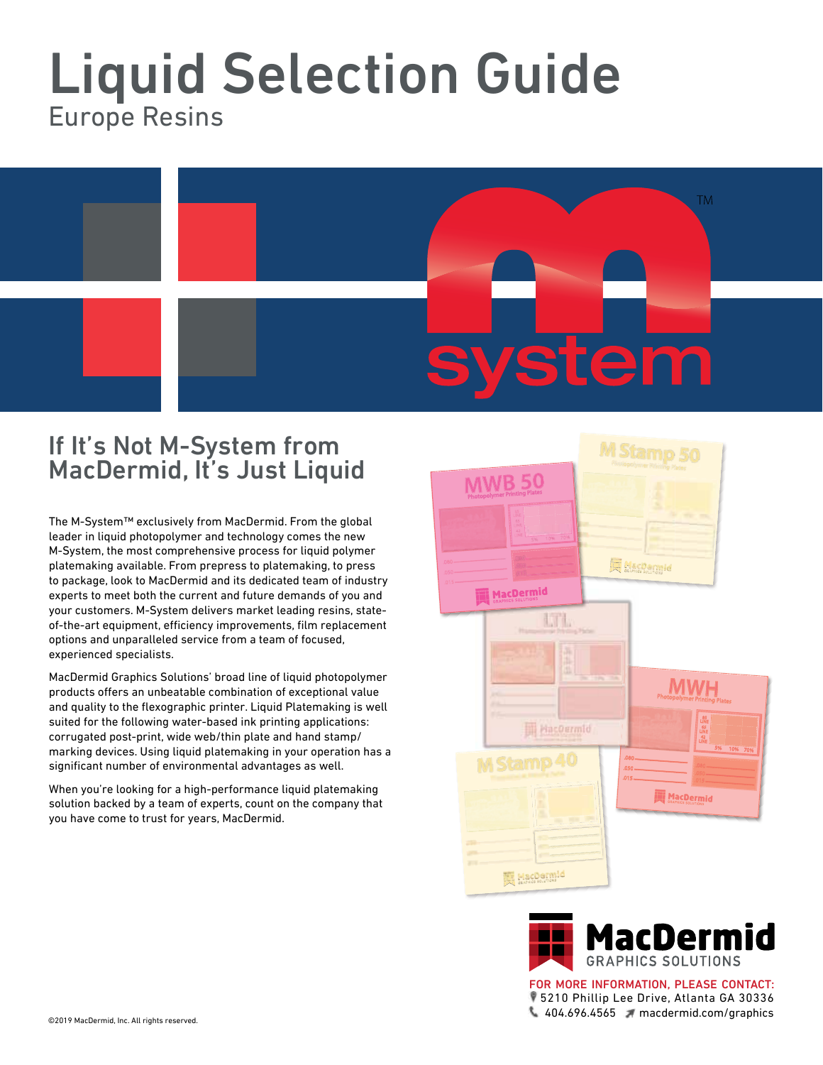## Liquid Selection Guide Europe Resins



## If It's Not M-System from MacDermid, It's Just Liquid

The M-System™ exclusively from MacDermid. From the global leader in liquid photopolymer and technology comes the new M-System, the most comprehensive process for liquid polymer platemaking available. From prepress to platemaking, to press to package, look to MacDermid and its dedicated team of industry experts to meet both the current and future demands of you and your customers. M-System delivers market leading resins, stateof-the-art equipment, efficiency improvements, film replacement options and unparalleled service from a team of focused, experienced specialists.

MacDermid Graphics Solutions' broad line of liquid photopolymer products offers an unbeatable combination of exceptional value and quality to the flexographic printer. Liquid Platemaking is well suited for the following water-based ink printing applications: corrugated post-print, wide web/thin plate and hand stamp/ marking devices. Using liquid platemaking in your operation has a significant number of environmental advantages as well.

When you're looking for a high-performance liquid platemaking solution backed by a team of experts, count on the company that you have come to trust for years, MacDermid.





5210 Phillip Lee Drive, Atlanta GA 30336 404.696.4565 macdermid.com/graphics FOR MORE INFORMATION, PLEASE CONTACT: